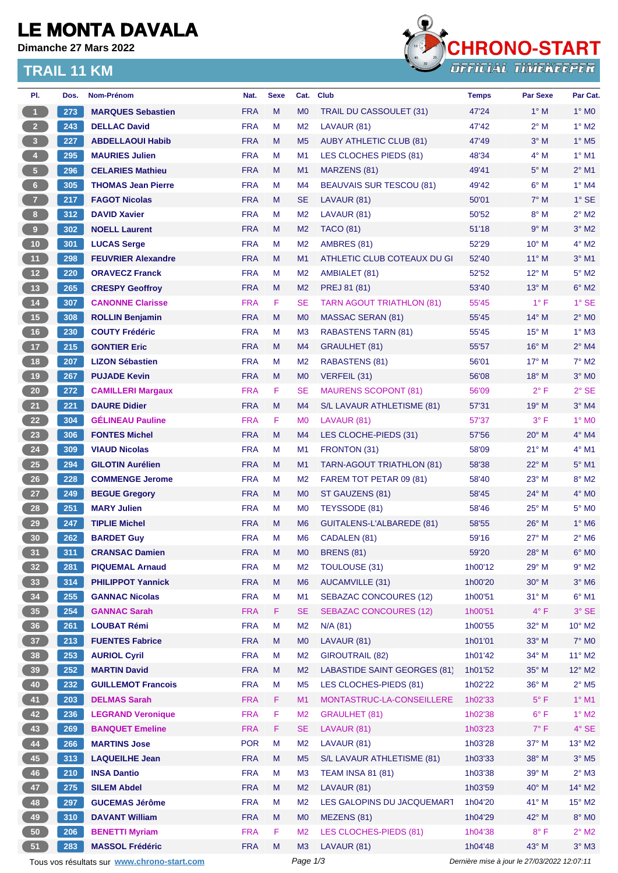## **LE MONTA DAVALA**

**Dimanche 27 Mars 2022**

#### **TRAIL 11 KM**



| PI.                     | Dos. | Nom-Prénom                                  | Nat.       | <b>Sexe</b> | Cat.                             | <b>Club</b>                           | <b>Temps</b>                                | <b>Par Sexe</b> | Par Cat.                   |  |
|-------------------------|------|---------------------------------------------|------------|-------------|----------------------------------|---------------------------------------|---------------------------------------------|-----------------|----------------------------|--|
| $\blacktriangleleft$    | 273  | <b>MARQUES Sebastien</b>                    | <b>FRA</b> | M           | M <sub>0</sub>                   | TRAIL DU CASSOULET (31)               | 47'24                                       | $1^\circ$ M     | $1^\circ$ MO               |  |
| 2 <sup>7</sup>          | 243  | <b>DELLAC David</b>                         | <b>FRA</b> | M           | M <sub>2</sub>                   | LAVAUR (81)                           | 47'42                                       | 2° M            | $1^\circ$ M2               |  |
| $\overline{\mathbf{3}}$ | 227  | <b>ABDELLAOUI Habib</b>                     | <b>FRA</b> | M           | M <sub>5</sub>                   | <b>AUBY ATHLETIC CLUB (81)</b>        | 47'49                                       | $3^\circ$ M     | $1^\circ$ M <sub>5</sub>   |  |
| $\overline{4}$          | 295  | <b>MAURIES Julien</b>                       | <b>FRA</b> | M           | M <sub>1</sub>                   | LES CLOCHES PIEDS (81)                | 48'34                                       | $4^\circ$ M     | $1^\circ$ M1               |  |
| $\sqrt{5}$              | 296  | <b>CELARIES Mathieu</b>                     | <b>FRA</b> | M           | M <sub>1</sub>                   | MARZENS (81)                          | 49'41                                       | $5^\circ$ M     | $2^{\circ}$ M1             |  |
| $6-$                    | 305  | <b>THOMAS Jean Pierre</b>                   | <b>FRA</b> | M           | M4                               | <b>BEAUVAIS SUR TESCOU (81)</b>       | 49'42                                       | $6^\circ$ M     | $1^\circ$ M4               |  |
| $\overline{7}$          | 217  | <b>FAGOT Nicolas</b>                        | <b>FRA</b> | M           | <b>SE</b>                        | LAVAUR (81)                           | 50'01                                       | $7^\circ$ M     | $1^\circ$ SE               |  |
| $\bf{8}$                | 312  | <b>DAVID Xavier</b>                         | <b>FRA</b> | M           | M <sub>2</sub>                   | LAVAUR (81)                           | 50'52                                       | $8^\circ$ M     | $2^{\circ}$ M2             |  |
|                         | 302  | <b>NOELL Laurent</b>                        | <b>FRA</b> | M           | M <sub>2</sub>                   | <b>TACO (81)</b>                      | 51'18                                       | 9° M            | $3°$ M2                    |  |
| 10 <sub>1</sub>         | 301  | <b>LUCAS Serge</b>                          | <b>FRA</b> | M           | M <sub>2</sub>                   | AMBRES (81)                           | 52'29                                       | $10^{\circ}$ M  | $4^{\circ}$ M2             |  |
| 11                      | 298  | <b>FEUVRIER Alexandre</b>                   | <b>FRA</b> | M           | M1                               | ATHLETIC CLUB COTEAUX DU GI           | 52'40                                       | $11^{\circ}$ M  | $3°$ M1                    |  |
| 12 <sup>7</sup>         | 220  | <b>ORAVECZ Franck</b>                       | <b>FRA</b> | M           | M <sub>2</sub>                   | AMBIALET (81)                         | 52'52                                       | $12^{\circ}$ M  | $5^\circ$ M2               |  |
| 13                      | 265  | <b>CRESPY Geoffroy</b>                      | <b>FRA</b> | M           | M <sub>2</sub>                   | PREJ 81 (81)                          | 53'40                                       | $13^\circ$ M    | $6^\circ$ M2               |  |
| $14$                    | 307  | <b>CANONNE Clarisse</b>                     | <b>FRA</b> | F           | <b>SE</b>                        | <b>TARN AGOUT TRIATHLON (81)</b>      | 55'45                                       | $1^{\circ}$ F   | $1^\circ$ SE               |  |
| 15                      | 308  | <b>ROLLIN Benjamin</b>                      | <b>FRA</b> | M           | M <sub>0</sub>                   | <b>MASSAC SERAN (81)</b>              | 55'45                                       | $14^{\circ}$ M  | $2^{\circ}$ MO             |  |
| 16                      | 230  | <b>COUTY Frédéric</b>                       | <b>FRA</b> | M           | M <sub>3</sub>                   | <b>RABASTENS TARN (81)</b>            | 55'45                                       | $15^{\circ}$ M  | $1^\circ$ M3               |  |
| 17 <sup>°</sup>         | 215  | <b>GONTIER Eric</b>                         | <b>FRA</b> | M           | M4                               | GRAULHET (81)                         | 55'57                                       | $16^{\circ}$ M  | $2^{\circ}$ M4             |  |
| 18                      | 207  | <b>LIZON Sébastien</b>                      | <b>FRA</b> | M           | M <sub>2</sub>                   | RABASTENS (81)                        | 56'01                                       | $17^\circ$ M    | $7^\circ$ M2               |  |
| 19                      | 267  | <b>PUJADE Kevin</b>                         | <b>FRA</b> | M           | M <sub>0</sub>                   | VERFEIL (31)                          | 56'08                                       | $18^{\circ}$ M  | $3°$ MO                    |  |
| 20 <sub>2</sub>         | 272  | <b>CAMILLERI Margaux</b>                    | <b>FRA</b> | F           | <b>SE</b>                        | <b>MAURENS SCOPONT (81)</b>           | 56'09                                       | $2^{\circ}$ F   | $2°$ SE                    |  |
| 21                      | 221  | <b>DAURE Didier</b>                         | <b>FRA</b> | M           | M4                               | S/L LAVAUR ATHLETISME (81)            | 57'31                                       | $19^{\circ}$ M  | $3°$ M4                    |  |
| 22                      | 304  | <b>GÉLINEAU Pauline</b>                     | <b>FRA</b> | F.          | M <sub>0</sub>                   | LAVAUR (81)                           | 57'37                                       | $3^{\circ}$ F   | $1^\circ$ MO               |  |
| 23                      | 306  | <b>FONTES Michel</b>                        | <b>FRA</b> | M           | M <sub>4</sub>                   | LES CLOCHE-PIEDS (31)                 | 57'56                                       | $20^\circ$ M    | $4^\circ$ M4               |  |
| 24                      | 309  | <b>VIAUD Nicolas</b>                        | <b>FRA</b> | M           | M1                               | FRONTON (31)                          | 58'09                                       | 21° M           | $4^\circ$ M1               |  |
| 25                      | 294  | <b>GILOTIN Aurélien</b>                     | <b>FRA</b> | M           | M <sub>1</sub>                   | TARN-AGOUT TRIATHLON (81)             | 58'38                                       | $22^{\circ}$ M  | $5^\circ$ M1               |  |
| 26                      | 228  | <b>COMMENGE Jerome</b>                      | <b>FRA</b> | M           | M <sub>2</sub>                   | FAREM TOT PETAR 09 (81)               | 58'40                                       | $23^{\circ}$ M  | $8^\circ$ M2               |  |
| 27                      | 249  | <b>BEGUE Gregory</b>                        | <b>FRA</b> | M           | M <sub>0</sub>                   | ST GAUZENS (81)                       | 58'45                                       | $24^{\circ}$ M  | $4^\circ$ MO               |  |
| 28                      | 251  | <b>MARY Julien</b>                          | <b>FRA</b> | M           | M <sub>0</sub>                   | TEYSSODE (81)                         | 58'46                                       | $25^{\circ}$ M  | 5° MO                      |  |
| 29                      | 247  | <b>TIPLIE Michel</b>                        | <b>FRA</b> | M           | M <sub>6</sub>                   | <b>GUITALENS-L'ALBAREDE (81)</b>      | 58'55                                       | $26^{\circ}$ M  | $1^\circ$ M6               |  |
| 30                      | 262  | <b>BARDET Guy</b>                           | <b>FRA</b> | M           | M <sub>6</sub>                   | CADALEN (81)                          | 59'16                                       | 27° M           | $2^{\circ}$ M <sub>6</sub> |  |
| 31)                     | 311  | <b>CRANSAC Damien</b>                       | <b>FRA</b> | M           | <b>MO</b>                        | <b>BRENS (81)</b>                     | 59'20                                       | 28° M           | $6^\circ$ MO               |  |
| 32 <sub>2</sub>         | 281  | <b>PIQUEMAL Arnaud</b>                      | <b>FRA</b> | M           | M <sub>2</sub>                   | TOULOUSE (31)                         | 1h00'12                                     | $29°$ M         | $9^\circ$ M2               |  |
| 33                      | 314  | <b>PHILIPPOT Yannick</b>                    | <b>FRA</b> | M           | M <sub>6</sub>                   | <b>AUCAMVILLE (31)</b>                | 1h00'20                                     | $30^\circ$ M    | $3^\circ$ M6               |  |
| 34                      | 255  | <b>GANNAC Nicolas</b>                       | <b>FRA</b> | M           | M1                               | <b>SEBAZAC CONCOURES (12)</b>         | 1h00'51                                     | $31°$ M         | $6^{\circ}$ M1             |  |
| 35                      | 254  | <b>GANNAC Sarah</b>                         | <b>FRA</b> | F.          | <b>SE</b>                        | <b>SEBAZAC CONCOURES (12)</b>         | 1h00'51                                     | $4^{\circ}$ F   | $3°$ SE                    |  |
| 36 <sup>°</sup>         | 261  | <b>LOUBAT Rémi</b>                          | <b>FRA</b> | M           | M <sub>2</sub>                   | N/A(81)                               | 1h00'55                                     | 32° M           | $10^{\circ}$ M2            |  |
| 37 <sup>°</sup>         | 213  | <b>FUENTES Fabrice</b>                      | <b>FRA</b> | M           | M <sub>0</sub>                   | LAVAUR (81)                           | 1h01'01                                     | $33^\circ$ M    | 7° M0                      |  |
| 38                      | 253  | <b>AURIOL Cyril</b>                         | <b>FRA</b> | M           | M <sub>2</sub>                   | <b>GIROUTRAIL (82)</b>                | 1h01'42                                     | $34^\circ$ M    | $11^{\circ}$ M2            |  |
| 39                      | 252  | <b>MARTIN David</b>                         | <b>FRA</b> | M           | M <sub>2</sub>                   | LABASTIDE SAINT GEORGES (81)          | 1h01'52                                     | 35° M           | $12^{\circ}$ M2            |  |
| 40                      | 232  | <b>GUILLEMOT Francois</b>                   | <b>FRA</b> | M           | M <sub>5</sub>                   | LES CLOCHES-PIEDS (81)                | 1h02'22                                     | $36^\circ$ M    | $2^{\circ}$ M <sub>5</sub> |  |
| 41                      | 203  | <b>DELMAS Sarah</b>                         | <b>FRA</b> | F.          | M1                               | MONTASTRUC-LA-CONSEILLERE             | 1h02'33                                     | $5^{\circ}$ F   | $1^\circ$ M1               |  |
| 42                      | 236  | <b>LEGRAND Veronique</b>                    | <b>FRA</b> | F           | M <sub>2</sub>                   | GRAULHET (81)                         | 1h02'38                                     | $6^{\circ}$ F   | $1^\circ$ M2               |  |
| 43                      | 269  | <b>BANQUET Emeline</b>                      | <b>FRA</b> | F.          | <b>SE</b>                        | LAVAUR (81)                           | 1h03'23                                     | $7^\circ$ F     | $4^\circ$ SE               |  |
| 44                      | 266  | <b>MARTINS Jose</b>                         | <b>POR</b> | M           | M <sub>2</sub>                   | LAVAUR (81)                           | 1h03'28                                     | $37^\circ$ M    | $13^\circ$ M2              |  |
| 45                      | 313  | <b>LAQUEILHE Jean</b>                       | <b>FRA</b> | M           | M <sub>5</sub>                   | S/L LAVAUR ATHLETISME (81)            | 1h03'33                                     | 38° M           | $3^{\circ}$ M5             |  |
| 46                      | 210  | <b>INSA Dantio</b>                          | <b>FRA</b> | M           | M <sub>3</sub>                   | <b>TEAM INSA 81 (81)</b>              | 1h03'38                                     | $39^\circ$ M    | $2^{\circ}$ M3             |  |
| 47                      | 275  | <b>SILEM Abdel</b>                          | <b>FRA</b> | M           | M <sub>2</sub>                   | LAVAUR (81)                           | 1h03'59                                     | 40° M           | $14^{\circ}$ M2            |  |
| 48                      | 297  | <b>GUCEMAS Jérôme</b>                       | <b>FRA</b> | M           | M <sub>2</sub>                   | LES GALOPINS DU JACQUEMART            | 1h04'20                                     | 41° M           | $15^{\circ}$ M2            |  |
| 49                      | 310  | <b>DAVANT William</b>                       | <b>FRA</b> | M           |                                  |                                       | 1h04'29                                     | 42° M           | $8^\circ$ MO               |  |
| 50                      | 206  | <b>BENETTI Myriam</b>                       | <b>FRA</b> | F           | M <sub>0</sub><br>M <sub>2</sub> | MEZENS (81)<br>LES CLOCHES-PIEDS (81) | 1h04'38                                     | $8^{\circ}$ F   | $2^{\circ}$ M2             |  |
| 51                      | 283  |                                             | <b>FRA</b> | M           | M <sub>3</sub>                   |                                       | 1h04'48                                     | 43° M           | $3°$ M3                    |  |
|                         |      | <b>MASSOL Frédéric</b>                      |            |             | Page 1/3                         | LAVAUR (81)                           |                                             |                 |                            |  |
|                         |      | Tous vos résultats sur www.chrono-start.com |            |             |                                  |                                       | Dernière mise à jour le 27/03/2022 12:07:11 |                 |                            |  |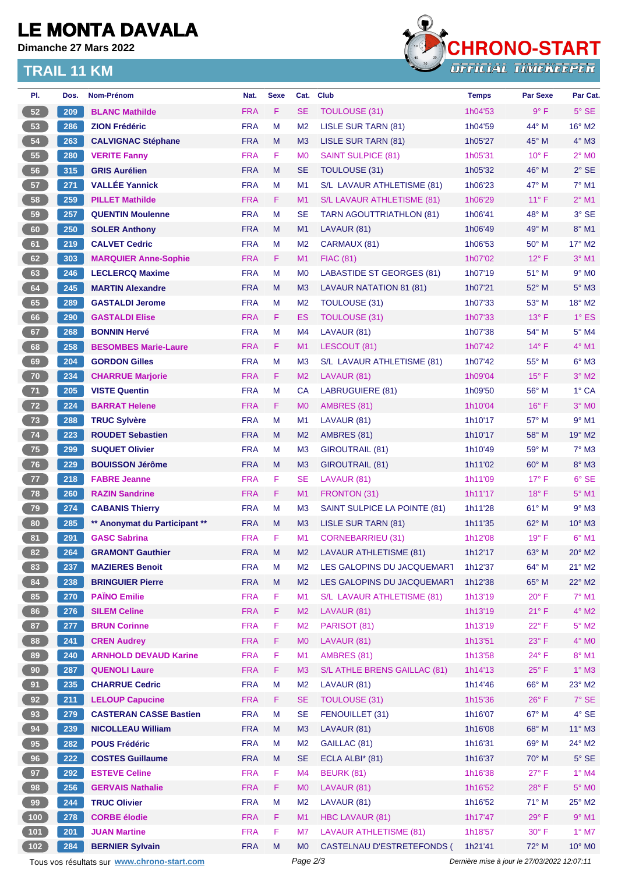## **LE MONTA DAVALA**

**Dimanche 27 Mars 2022**

#### **TRAIL 11 KM**



| PI.                                                                                                    | Dos. | Nom-Prénom                    | Nat.       | <b>Sexe</b> | Cat.           | <b>Club</b>                      | <b>Temps</b> | <b>Par Sexe</b> | Par Cat.                    |
|--------------------------------------------------------------------------------------------------------|------|-------------------------------|------------|-------------|----------------|----------------------------------|--------------|-----------------|-----------------------------|
| 52                                                                                                     | 209  | <b>BLANC Mathilde</b>         | <b>FRA</b> | F           | <b>SE</b>      | <b>TOULOUSE (31)</b>             | 1h04'53      | $9^{\circ}$ F   | $5^\circ$ SE                |
| 53                                                                                                     | 286  | <b>ZION Frédéric</b>          | <b>FRA</b> | M           | M <sub>2</sub> | LISLE SUR TARN (81)              | 1h04'59      | 44° M           | 16° M2                      |
| 54                                                                                                     | 263  | <b>CALVIGNAC Stéphane</b>     | <b>FRA</b> | M           | M <sub>3</sub> | LISLE SUR TARN (81)              | 1h05'27      | $45^{\circ}$ M  | $4^\circ$ M3                |
| 55                                                                                                     | 280  | <b>VERITE Fanny</b>           | <b>FRA</b> | F           | M <sub>0</sub> | <b>SAINT SULPICE (81)</b>        | 1h05'31      | $10^{\circ}$ F  | $2^{\circ}$ MO              |
| 56                                                                                                     | 315  | <b>GRIS Aurélien</b>          | <b>FRA</b> | M           | <b>SE</b>      | <b>TOULOUSE (31)</b>             | 1h05'32      | $46^{\circ}$ M  | $2^{\circ}$ SE              |
| 57                                                                                                     | 271  | <b>VALLÉE Yannick</b>         | <b>FRA</b> | M           | M1             | S/L LAVAUR ATHLETISME (81)       | 1h06'23      | 47° M           | $7°$ M1                     |
| 58                                                                                                     | 259  | <b>PILLET Mathilde</b>        | <b>FRA</b> | F           | M1             | S/L LAVAUR ATHLETISME (81)       | 1h06'29      | $11^{\circ}$ F  | $2^{\circ}$ M1              |
| 59                                                                                                     | 257  | <b>QUENTIN Moulenne</b>       | <b>FRA</b> | M           | <b>SE</b>      | <b>TARN AGOUTTRIATHLON (81)</b>  | 1h06'41      | 48° M           | 3° SE                       |
| 60                                                                                                     | 250  | <b>SOLER Anthony</b>          | <b>FRA</b> | M           | M1             | LAVAUR (81)                      | 1h06'49      | 49° M           | $8^\circ$ M1                |
| 61                                                                                                     | 219  | <b>CALVET Cedric</b>          | <b>FRA</b> | M           | M <sub>2</sub> | CARMAUX (81)                     | 1h06'53      | 50° M           | 17° M2                      |
| 62                                                                                                     | 303  | <b>MARQUIER Anne-Sophie</b>   | <b>FRA</b> | F           | M1             | <b>FIAC (81)</b>                 | 1h07'02      | $12^{\circ}$ F  | $3°$ M1                     |
| 63                                                                                                     | 246  | <b>LECLERCQ Maxime</b>        | <b>FRA</b> | M           | M <sub>0</sub> | <b>LABASTIDE ST GEORGES (81)</b> | 1h07'19      | 51° M           | $9°$ M <sub>0</sub>         |
| 64                                                                                                     | 245  | <b>MARTIN Alexandre</b>       | <b>FRA</b> | M           | M <sub>3</sub> | LAVAUR NATATION 81 (81)          | 1h07'21      | $52^{\circ}$ M  | $5^\circ$ M3                |
| 65                                                                                                     | 289  | <b>GASTALDI Jerome</b>        | <b>FRA</b> | M           | M <sub>2</sub> | TOULOUSE (31)                    | 1h07'33      | $53^\circ$ M    | 18° M2                      |
| 66                                                                                                     | 290  | <b>GASTALDI Elise</b>         | <b>FRA</b> | F           | ES             | <b>TOULOUSE (31)</b>             | 1h07'33      | $13^{\circ}$ F  | $1^\circ$ ES                |
| 67                                                                                                     | 268  | <b>BONNIN Hervé</b>           | <b>FRA</b> | M           | M4             | LAVAUR (81)                      | 1h07'38      | 54° M           | 5° M4                       |
| 68                                                                                                     | 258  | <b>BESOMBES Marie-Laure</b>   | <b>FRA</b> | F           | M1             | LESCOUT (81)                     | 1h07'42      | $14^{\circ}$ F  | $4^{\circ}$ M1              |
| 69                                                                                                     | 204  | <b>GORDON Gilles</b>          | <b>FRA</b> | M           | M <sub>3</sub> | S/L LAVAUR ATHLETISME (81)       | 1h07'42      | 55° M           | $6^\circ$ M3                |
| 70                                                                                                     | 234  | <b>CHARRUE Marjorie</b>       | <b>FRA</b> | F           | M <sub>2</sub> | LAVAUR (81)                      | 1h09'04      | $15^{\circ}$ F  | $3°$ M2                     |
| 71                                                                                                     | 205  | <b>VISTE Quentin</b>          | <b>FRA</b> | M           | CA             | LABRUGUIERE (81)                 | 1h09'50      | 56° M           | $1^\circ$ CA                |
| 72                                                                                                     | 224  | <b>BARRAT Helene</b>          | <b>FRA</b> | F           | M <sub>0</sub> | AMBRES (81)                      | 1h10'04      | $16^{\circ}$ F  | $3°$ MO                     |
| 73                                                                                                     | 288  | <b>TRUC Sylvère</b>           | <b>FRA</b> | м           | M <sub>1</sub> | LAVAUR (81)                      | 1h10'17      | $57^\circ$ M    | $9°$ M1                     |
| 74                                                                                                     | 223  | <b>ROUDET Sebastien</b>       | <b>FRA</b> | M           | M <sub>2</sub> | AMBRES (81)                      | 1h10'17      | 58° M           | 19° M2                      |
| 75                                                                                                     | 299  | <b>SUQUET Olivier</b>         | <b>FRA</b> | M           | M <sub>3</sub> | GIROUTRAIL (81)                  | 1h10'49      | 59° M           | $7°$ M3                     |
| 76                                                                                                     | 229  | <b>BOUISSON Jérôme</b>        | <b>FRA</b> | M           | M <sub>3</sub> | GIROUTRAIL (81)                  | 1h11'02      | 60° M           | $8^\circ$ M3                |
| 77                                                                                                     | 218  | <b>FABRE Jeanne</b>           | <b>FRA</b> | F           | <b>SE</b>      | LAVAUR (81)                      | 1h11'09      | $17^{\circ}$ F  | $6°$ SE                     |
| 78                                                                                                     | 260  | <b>RAZIN Sandrine</b>         | <b>FRA</b> | F           | M1             | FRONTON (31)                     | 1h11'17      | $18^{\circ}$ F  | $5^{\circ}$ M1              |
| 79                                                                                                     | 274  | <b>CABANIS Thierry</b>        | <b>FRA</b> | M           | M <sub>3</sub> | SAINT SULPICE LA POINTE (81)     | 1h11'28      | 61° M           | $9°$ M3                     |
| 80                                                                                                     | 285  | ** Anonymat du Participant ** | <b>FRA</b> | M           | M <sub>3</sub> | LISLE SUR TARN (81)              | 1h11'35      | $62^{\circ}$ M  | $10^{\circ}$ M3             |
| 81                                                                                                     | 291  | <b>GASC Sabrina</b>           | <b>FRA</b> | F           | M1             | <b>CORNEBARRIEU (31)</b>         | 1h12'08      | $19^{\circ}$ F  | $6^{\circ}$ M1              |
| 82                                                                                                     | 264  | <b>GRAMONT Gauthier</b>       | <b>FRA</b> | M           | M <sub>2</sub> | LAVAUR ATHLETISME (81)           | 1h12'17      | $63^\circ$ M    | $20^\circ$ M <sub>2</sub>   |
| 83                                                                                                     | 237  | <b>MAZIERES Benoit</b>        | <b>FRA</b> | M           | M <sub>2</sub> | LES GALOPINS DU JACQUEMART       | 1h12'37      | 64° M           | $21^{\circ}$ M2             |
| 84                                                                                                     | 238  | <b>BRINGUIER Pierre</b>       | <b>FRA</b> | M           | M <sub>2</sub> | LES GALOPINS DU JACQUEMART       | 1h12'38      | 65° M           | 22° M2                      |
| 85                                                                                                     | 270  | <b>PAÏNO Emilie</b>           | <b>FRA</b> | F           | M1             | S/L LAVAUR ATHLETISME (81)       | 1h13'19      | $20^{\circ}$ F  | $7^\circ$ M1                |
| 86                                                                                                     | 276  | <b>SILEM Celine</b>           | <b>FRA</b> | F           | M <sub>2</sub> | LAVAUR (81)                      | 1h13'19      | 21° F           | $4^\circ$ M2                |
| 87                                                                                                     | 277  | <b>BRUN Corinne</b>           | <b>FRA</b> | F           | M <sub>2</sub> | PARISOT (81)                     | 1h13'19      | $22^{\circ}$ F  | $5^\circ$ M2                |
| 88                                                                                                     | 241  | <b>CREN Audrey</b>            | <b>FRA</b> | F           | M <sub>0</sub> | LAVAUR (81)                      | 1h13'51      | $23^\circ$ F    | $4^\circ$ MO                |
| 89                                                                                                     | 240  | <b>ARNHOLD DEVAUD Karine</b>  | <b>FRA</b> | F           | M1             | AMBRES (81)                      | 1h13'58      | $24^{\circ}$ F  | $8^{\circ}$ M1              |
|                                                                                                        | 287  | <b>QUENOLI Laure</b>          | <b>FRA</b> | F           |                | S/L ATHLE BRENS GAILLAC (81)     |              | $25^{\circ}$ F  | $1^\circ$ M3                |
| 90 <sub>o</sub>                                                                                        |      |                               |            |             | M <sub>3</sub> |                                  | 1h14'13      | 66° M           | 23° M2                      |
| 91                                                                                                     | 235  | <b>CHARRUE Cedric</b>         | <b>FRA</b> | М           | M <sub>2</sub> | LAVAUR (81)                      | 1h14'46      |                 |                             |
| 92                                                                                                     | 211  | <b>LELOUP Capucine</b>        | <b>FRA</b> | F           | <b>SE</b>      | <b>TOULOUSE (31)</b>             | 1h15'36      | $26^{\circ}$ F  | 7° SE                       |
| 93                                                                                                     | 279  | <b>CASTERAN CASSE Bastien</b> | <b>FRA</b> | M           | <b>SE</b>      | FENOUILLET (31)                  | 1h16'07      | 67° M           | $4°$ SE                     |
| 94                                                                                                     | 239  | <b>NICOLLEAU William</b>      | <b>FRA</b> | M           | M <sub>3</sub> | LAVAUR (81)                      | 1h16'08      | 68° M           | $11^{\circ}$ M3             |
| 95 <sub>2</sub>                                                                                        | 282  | <b>POUS Frédéric</b>          | <b>FRA</b> | M           | M <sub>2</sub> | GAILLAC (81)                     | 1h16'31      | 69° M           | 24° M2                      |
| 96                                                                                                     | 222  | <b>COSTES Guillaume</b>       | <b>FRA</b> | M           | <b>SE</b>      | ECLA ALBI* (81)                  | 1h16'37      | 70° M           | $5^\circ$ SE                |
| 97                                                                                                     | 292  | <b>ESTEVE Celine</b>          | <b>FRA</b> | F           | M4             | <b>BEURK (81)</b>                | 1h16'38      | $27^{\circ}$ F  | $1^\circ$ M4                |
| 98                                                                                                     | 256  | <b>GERVAIS Nathalie</b>       | <b>FRA</b> | F           | M <sub>0</sub> | LAVAUR (81)                      | 1h16'52      | $28^{\circ}$ F  | $5^\circ$ MO                |
| 99                                                                                                     | 244  | <b>TRUC Olivier</b>           | <b>FRA</b> | М           | M <sub>2</sub> | LAVAUR (81)                      | 1h16'52      | 71° M           | 25° M2                      |
| (100)                                                                                                  | 278  | <b>CORBE élodie</b>           | <b>FRA</b> | F           | M1             | <b>HBC LAVAUR (81)</b>           | 1h17'47      | $29^\circ$ F    | $9°$ M1                     |
| 101                                                                                                    | 201  | <b>JUAN Martine</b>           | <b>FRA</b> | F           | M7             | <b>LAVAUR ATHLETISME (81)</b>    | 1h18'57      | $30^\circ$ F    | $1^\circ$ M7                |
| 102                                                                                                    | 284  | <b>BERNIER Sylvain</b>        | <b>FRA</b> | M           | M <sub>0</sub> | CASTELNAU D'ESTRETEFONDS (       | 1h21'41      | 72° M           | $10^{\circ}$ M <sub>0</sub> |
| Page 2/3<br>Tous vos résultats sur www.chrono-start.com<br>Dernière mise à jour le 27/03/2022 12:07:11 |      |                               |            |             |                |                                  |              |                 |                             |